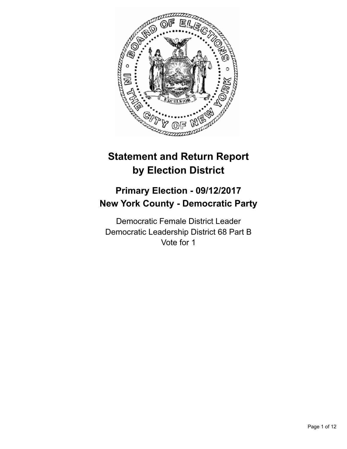

# **Statement and Return Report by Election District**

## **Primary Election - 09/12/2017 New York County - Democratic Party**

Democratic Female District Leader Democratic Leadership District 68 Part B Vote for 1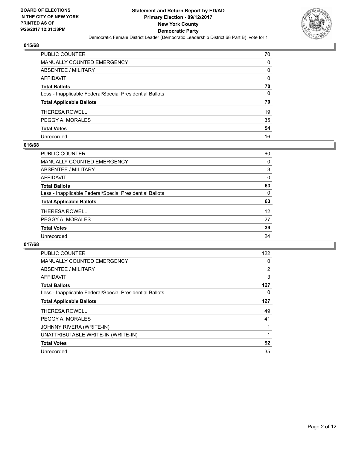

| PUBLIC COUNTER                                           | 70 |
|----------------------------------------------------------|----|
| <b>MANUALLY COUNTED EMERGENCY</b>                        | 0  |
| <b>ABSENTEE / MILITARY</b>                               | 0  |
| <b>AFFIDAVIT</b>                                         | 0  |
| <b>Total Ballots</b>                                     | 70 |
| Less - Inapplicable Federal/Special Presidential Ballots | 0  |
| <b>Total Applicable Ballots</b>                          | 70 |
| <b>THERESA ROWELL</b>                                    | 19 |
| PEGGY A. MORALES                                         | 35 |
| <b>Total Votes</b>                                       | 54 |
| Unrecorded                                               | 16 |

## **016/68**

| <b>PUBLIC COUNTER</b>                                    | 60 |
|----------------------------------------------------------|----|
| <b>MANUALLY COUNTED EMERGENCY</b>                        | 0  |
| ABSENTEE / MILITARY                                      | 3  |
| AFFIDAVIT                                                | 0  |
| <b>Total Ballots</b>                                     | 63 |
| Less - Inapplicable Federal/Special Presidential Ballots | 0  |
| <b>Total Applicable Ballots</b>                          | 63 |
| <b>THERESA ROWELL</b>                                    | 12 |
| PEGGY A. MORALES                                         | 27 |
| <b>Total Votes</b>                                       | 39 |
| Unrecorded                                               | 24 |

| <b>PUBLIC COUNTER</b>                                    | 122 |
|----------------------------------------------------------|-----|
| <b>MANUALLY COUNTED EMERGENCY</b>                        | 0   |
| ABSENTEE / MILITARY                                      | 2   |
| AFFIDAVIT                                                | 3   |
| <b>Total Ballots</b>                                     | 127 |
| Less - Inapplicable Federal/Special Presidential Ballots | 0   |
| <b>Total Applicable Ballots</b>                          | 127 |
| <b>THERESA ROWELL</b>                                    | 49  |
| PEGGY A. MORALES                                         | 41  |
| JOHNNY RIVERA (WRITE-IN)                                 | 1   |
| UNATTRIBUTABLE WRITE-IN (WRITE-IN)                       | 1   |
| <b>Total Votes</b>                                       | 92  |
| Unrecorded                                               | 35  |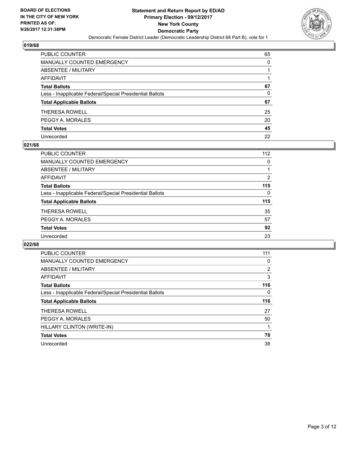

| PUBLIC COUNTER                                           | 65 |
|----------------------------------------------------------|----|
| <b>MANUALLY COUNTED EMERGENCY</b>                        | 0  |
| <b>ABSENTEE / MILITARY</b>                               |    |
| <b>AFFIDAVIT</b>                                         |    |
| <b>Total Ballots</b>                                     | 67 |
| Less - Inapplicable Federal/Special Presidential Ballots | 0  |
| <b>Total Applicable Ballots</b>                          | 67 |
| <b>THERESA ROWELL</b>                                    | 25 |
| PEGGY A. MORALES                                         | 20 |
| <b>Total Votes</b>                                       | 45 |
| Unrecorded                                               | 22 |

## **021/68**

| PUBLIC COUNTER                                           | 112 |
|----------------------------------------------------------|-----|
| <b>MANUALLY COUNTED EMERGENCY</b>                        | 0   |
| ABSENTEE / MILITARY                                      |     |
| AFFIDAVIT                                                | 2   |
| <b>Total Ballots</b>                                     | 115 |
| Less - Inapplicable Federal/Special Presidential Ballots | 0   |
| <b>Total Applicable Ballots</b>                          | 115 |
| <b>THERESA ROWELL</b>                                    | 35  |
| PEGGY A. MORALES                                         | 57  |
| <b>Total Votes</b>                                       | 92  |
| Unrecorded                                               | 23  |

| <b>PUBLIC COUNTER</b>                                    | 111 |
|----------------------------------------------------------|-----|
| <b>MANUALLY COUNTED EMERGENCY</b>                        | 0   |
| <b>ABSENTEE / MILITARY</b>                               | 2   |
| <b>AFFIDAVIT</b>                                         | 3   |
| <b>Total Ballots</b>                                     | 116 |
| Less - Inapplicable Federal/Special Presidential Ballots | 0   |
| <b>Total Applicable Ballots</b>                          | 116 |
|                                                          |     |
| <b>THERESA ROWELL</b>                                    | 27  |
| PEGGY A. MORALES                                         | 50  |
| HILLARY CLINTON (WRITE-IN)                               |     |
| <b>Total Votes</b>                                       | 78  |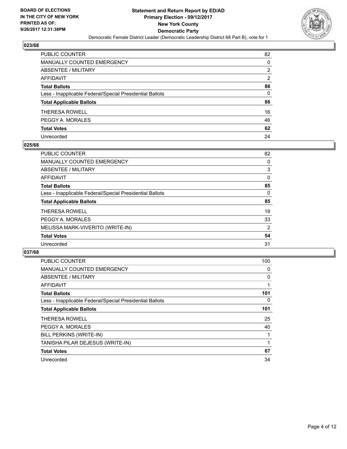

| PUBLIC COUNTER                                           | 82           |
|----------------------------------------------------------|--------------|
| <b>MANUALLY COUNTED EMERGENCY</b>                        | 0            |
| <b>ABSENTEE / MILITARY</b>                               | 2            |
| <b>AFFIDAVIT</b>                                         | 2            |
| <b>Total Ballots</b>                                     | 86           |
| Less - Inapplicable Federal/Special Presidential Ballots | $\mathbf{0}$ |
| <b>Total Applicable Ballots</b>                          | 86           |
| <b>THERESA ROWELL</b>                                    | 16           |
| PEGGY A. MORALES                                         | 46           |
| <b>Total Votes</b>                                       | 62           |
| Unrecorded                                               | 24           |

## **025/68**

| <b>PUBLIC COUNTER</b>                                    | 82 |
|----------------------------------------------------------|----|
| <b>MANUALLY COUNTED EMERGENCY</b>                        | 0  |
| ABSENTEE / MILITARY                                      | 3  |
| AFFIDAVIT                                                | 0  |
| <b>Total Ballots</b>                                     | 85 |
| Less - Inapplicable Federal/Special Presidential Ballots | 0  |
| <b>Total Applicable Ballots</b>                          | 85 |
| THERESA ROWELL                                           | 19 |
| PEGGY A. MORALES                                         | 33 |
| MELISSA MARK-VIVERITO (WRITE-IN)                         | 2  |
| <b>Total Votes</b>                                       | 54 |
| Unrecorded                                               | 31 |

| PUBLIC COUNTER                                           | 100 |
|----------------------------------------------------------|-----|
| <b>MANUALLY COUNTED EMERGENCY</b>                        | 0   |
| ABSENTEE / MILITARY                                      | 0   |
| <b>AFFIDAVIT</b>                                         |     |
| <b>Total Ballots</b>                                     | 101 |
| Less - Inapplicable Federal/Special Presidential Ballots | 0   |
| <b>Total Applicable Ballots</b>                          | 101 |
| <b>THERESA ROWELL</b>                                    | 25  |
| PEGGY A. MORALES                                         | 40  |
| BILL PERKINS (WRITE-IN)                                  |     |
| TANISHA PILAR DEJESUS (WRITE-IN)                         | 1   |
| <b>Total Votes</b>                                       | 67  |
| Unrecorded                                               | 34  |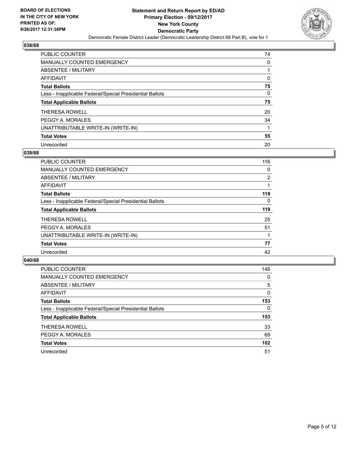

| <b>PUBLIC COUNTER</b>                                    | 74 |
|----------------------------------------------------------|----|
| <b>MANUALLY COUNTED EMERGENCY</b>                        | 0  |
| ABSENTEE / MILITARY                                      |    |
| AFFIDAVIT                                                | 0  |
| <b>Total Ballots</b>                                     | 75 |
| Less - Inapplicable Federal/Special Presidential Ballots | 0  |
| <b>Total Applicable Ballots</b>                          | 75 |
| <b>THERESA ROWELL</b>                                    | 20 |
| PEGGY A. MORALES                                         | 34 |
|                                                          |    |
| UNATTRIBUTABLE WRITE-IN (WRITE-IN)                       |    |
| <b>Total Votes</b>                                       | 55 |

#### **039/68**

| <b>PUBLIC COUNTER</b>                                    | 116      |
|----------------------------------------------------------|----------|
| <b>MANUALLY COUNTED EMERGENCY</b>                        | 0        |
| ABSENTEE / MILITARY                                      | 2        |
| <b>AFFIDAVIT</b>                                         |          |
| <b>Total Ballots</b>                                     | 119      |
| Less - Inapplicable Federal/Special Presidential Ballots | $\Omega$ |
| <b>Total Applicable Ballots</b>                          | 119      |
| <b>THERESA ROWELL</b>                                    | 25       |
| PEGGY A. MORALES                                         | 51       |
| UNATTRIBUTABLE WRITE-IN (WRITE-IN)                       |          |
| <b>Total Votes</b>                                       | 77       |
| Unrecorded                                               | 42       |

| <b>PUBLIC COUNTER</b>                                    | 148 |
|----------------------------------------------------------|-----|
| <b>MANUALLY COUNTED EMERGENCY</b>                        | 0   |
| ABSENTEE / MILITARY                                      | 5   |
| AFFIDAVIT                                                | 0   |
| <b>Total Ballots</b>                                     | 153 |
| Less - Inapplicable Federal/Special Presidential Ballots | 0   |
| <b>Total Applicable Ballots</b>                          | 153 |
| <b>THERESA ROWELL</b>                                    | 33  |
| PEGGY A. MORALES                                         | 69  |
| <b>Total Votes</b>                                       | 102 |
| Unrecorded                                               | 51  |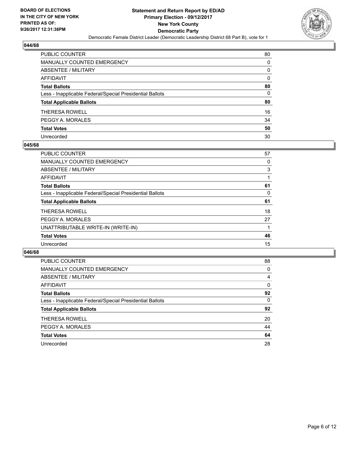

| <b>PUBLIC COUNTER</b>                                    | 80       |
|----------------------------------------------------------|----------|
| <b>MANUALLY COUNTED EMERGENCY</b>                        | 0        |
| ABSENTEE / MILITARY                                      | 0        |
| <b>AFFIDAVIT</b>                                         | 0        |
| <b>Total Ballots</b>                                     | 80       |
| Less - Inapplicable Federal/Special Presidential Ballots | $\Omega$ |
| <b>Total Applicable Ballots</b>                          | 80       |
| THERESA ROWELL                                           | 16       |
| PEGGY A. MORALES                                         | 34       |
| <b>Total Votes</b>                                       | 50       |
| Unrecorded                                               | 30       |

#### **045/68**

| <b>PUBLIC COUNTER</b>                                    | 57 |
|----------------------------------------------------------|----|
| <b>MANUALLY COUNTED EMERGENCY</b>                        | 0  |
| ABSENTEE / MILITARY                                      | 3  |
| AFFIDAVIT                                                |    |
| <b>Total Ballots</b>                                     | 61 |
| Less - Inapplicable Federal/Special Presidential Ballots | 0  |
| <b>Total Applicable Ballots</b>                          | 61 |
| <b>THERESA ROWELL</b>                                    | 18 |
| PEGGY A. MORALES                                         | 27 |
| UNATTRIBUTABLE WRITE-IN (WRITE-IN)                       |    |
| <b>Total Votes</b>                                       | 46 |
| Unrecorded                                               | 15 |

| <b>PUBLIC COUNTER</b>                                    | 88 |
|----------------------------------------------------------|----|
| <b>MANUALLY COUNTED EMERGENCY</b>                        | 0  |
| ABSENTEE / MILITARY                                      | 4  |
| AFFIDAVIT                                                | 0  |
| <b>Total Ballots</b>                                     | 92 |
| Less - Inapplicable Federal/Special Presidential Ballots | 0  |
| <b>Total Applicable Ballots</b>                          | 92 |
| <b>THERESA ROWELL</b>                                    | 20 |
| PEGGY A. MORALES                                         | 44 |
| <b>Total Votes</b>                                       | 64 |
| Unrecorded                                               | 28 |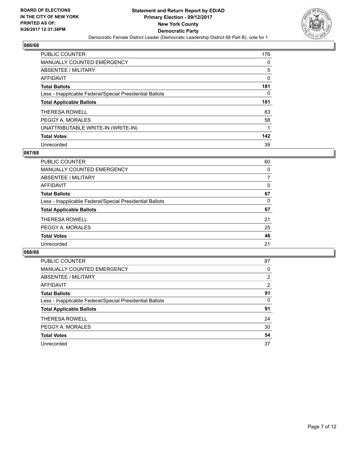

| <b>PUBLIC COUNTER</b>                                    | 176 |
|----------------------------------------------------------|-----|
| <b>MANUALLY COUNTED EMERGENCY</b>                        | 0   |
| ABSENTEE / MILITARY                                      | 5   |
| AFFIDAVIT                                                | 0   |
| <b>Total Ballots</b>                                     | 181 |
| Less - Inapplicable Federal/Special Presidential Ballots | 0   |
| <b>Total Applicable Ballots</b>                          | 181 |
| <b>THERESA ROWELL</b>                                    | 83  |
| PEGGY A. MORALES                                         | 58  |
| UNATTRIBUTABLE WRITE-IN (WRITE-IN)                       |     |
| <b>Total Votes</b>                                       | 142 |
|                                                          |     |

## **067/68**

| <b>PUBLIC COUNTER</b>                                    | 60 |
|----------------------------------------------------------|----|
| MANUALLY COUNTED EMERGENCY                               | 0  |
| ABSENTEE / MILITARY                                      |    |
| <b>AFFIDAVIT</b>                                         | 0  |
| <b>Total Ballots</b>                                     | 67 |
| Less - Inapplicable Federal/Special Presidential Ballots | 0  |
| <b>Total Applicable Ballots</b>                          | 67 |
| <b>THERESA ROWELL</b>                                    | 21 |
| PEGGY A. MORALES                                         | 25 |
| <b>Total Votes</b>                                       | 46 |
| Unrecorded                                               | 21 |

| <b>PUBLIC COUNTER</b>                                    | 87             |
|----------------------------------------------------------|----------------|
| <b>MANUALLY COUNTED EMERGENCY</b>                        | 0              |
| ABSENTEE / MILITARY                                      | $\overline{2}$ |
| AFFIDAVIT                                                | 2              |
| <b>Total Ballots</b>                                     | 91             |
| Less - Inapplicable Federal/Special Presidential Ballots | 0              |
| <b>Total Applicable Ballots</b>                          | 91             |
| <b>THERESA ROWELL</b>                                    | 24             |
| PEGGY A. MORALES                                         | 30             |
| <b>Total Votes</b>                                       | 54             |
| Unrecorded                                               | 37             |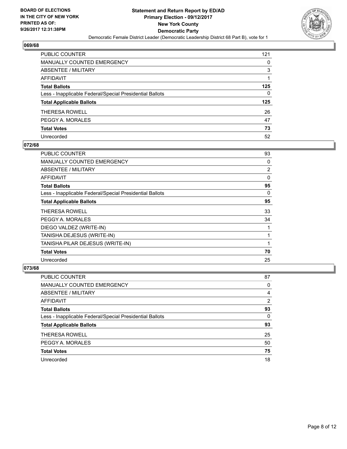

| PUBLIC COUNTER                                           | 121 |
|----------------------------------------------------------|-----|
| <b>MANUALLY COUNTED EMERGENCY</b>                        | 0   |
| <b>ABSENTEE / MILITARY</b>                               | 3   |
| <b>AFFIDAVIT</b>                                         |     |
| <b>Total Ballots</b>                                     | 125 |
| Less - Inapplicable Federal/Special Presidential Ballots | 0   |
| <b>Total Applicable Ballots</b>                          | 125 |
| <b>THERESA ROWELL</b>                                    | 26  |
| PEGGY A. MORALES                                         | 47  |
| <b>Total Votes</b>                                       | 73  |
| Unrecorded                                               | 52  |

## **072/68**

| <b>PUBLIC COUNTER</b>                                    | 93             |
|----------------------------------------------------------|----------------|
| <b>MANUALLY COUNTED EMERGENCY</b>                        | 0              |
| ABSENTEE / MILITARY                                      | $\overline{2}$ |
| <b>AFFIDAVIT</b>                                         | 0              |
| <b>Total Ballots</b>                                     | 95             |
| Less - Inapplicable Federal/Special Presidential Ballots | 0              |
| <b>Total Applicable Ballots</b>                          | 95             |
| <b>THERESA ROWELL</b>                                    | 33             |
| PEGGY A. MORALES                                         | 34             |
| DIEGO VALDEZ (WRITE-IN)                                  |                |
| TANISHA DEJESUS (WRITE-IN)                               |                |
| TANISHA PILAR DEJESUS (WRITE-IN)                         |                |
| <b>Total Votes</b>                                       | 70             |
| Unrecorded                                               | 25             |

| <b>PUBLIC COUNTER</b>                                    | 87             |
|----------------------------------------------------------|----------------|
| MANUALLY COUNTED EMERGENCY                               | 0              |
| ABSENTEE / MILITARY                                      | 4              |
| AFFIDAVIT                                                | $\overline{2}$ |
| <b>Total Ballots</b>                                     | 93             |
| Less - Inapplicable Federal/Special Presidential Ballots | $\Omega$       |
| <b>Total Applicable Ballots</b>                          | 93             |
| <b>THERESA ROWELL</b>                                    | 25             |
| PEGGY A. MORALES                                         | 50             |
| <b>Total Votes</b>                                       | 75             |
| Unrecorded                                               | 18             |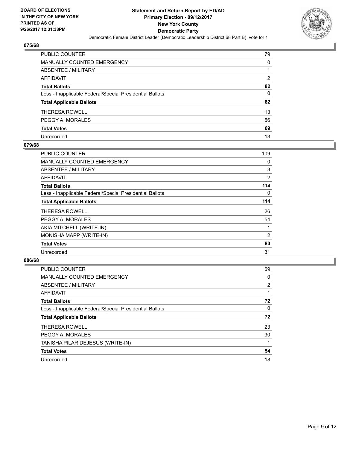

| <b>PUBLIC COUNTER</b>                                    | 79 |
|----------------------------------------------------------|----|
| <b>MANUALLY COUNTED EMERGENCY</b>                        | 0  |
| ABSENTEE / MILITARY                                      | 1  |
| <b>AFFIDAVIT</b>                                         | 2  |
| <b>Total Ballots</b>                                     | 82 |
| Less - Inapplicable Federal/Special Presidential Ballots | 0  |
| <b>Total Applicable Ballots</b>                          | 82 |
| THERESA ROWELL                                           | 13 |
| PEGGY A. MORALES                                         | 56 |
| <b>Total Votes</b>                                       | 69 |
| Unrecorded                                               | 13 |

## **079/68**

| <b>PUBLIC COUNTER</b>                                    | 109 |
|----------------------------------------------------------|-----|
| <b>MANUALLY COUNTED EMERGENCY</b>                        | 0   |
| ABSENTEE / MILITARY                                      | 3   |
| AFFIDAVIT                                                | 2   |
| <b>Total Ballots</b>                                     | 114 |
| Less - Inapplicable Federal/Special Presidential Ballots | 0   |
| <b>Total Applicable Ballots</b>                          | 114 |
| <b>THERESA ROWELL</b>                                    | 26  |
| PEGGY A. MORALES                                         | 54  |
| AKIA MITCHELL (WRITE-IN)                                 |     |
| MONISHA MAPP (WRITE-IN)                                  | 2   |
| <b>Total Votes</b>                                       | 83  |
| Unrecorded                                               | 31  |

| PUBLIC COUNTER                                           | 69             |
|----------------------------------------------------------|----------------|
| <b>MANUALLY COUNTED EMERGENCY</b>                        | 0              |
| ABSENTEE / MILITARY                                      | $\overline{2}$ |
| <b>AFFIDAVIT</b>                                         |                |
| <b>Total Ballots</b>                                     | 72             |
| Less - Inapplicable Federal/Special Presidential Ballots | 0              |
| <b>Total Applicable Ballots</b>                          | 72             |
| <b>THERESA ROWELL</b>                                    | 23             |
| PEGGY A. MORALES                                         | 30             |
| TANISHA PILAR DEJESUS (WRITE-IN)                         |                |
| <b>Total Votes</b>                                       | 54             |
| Unrecorded                                               | 18             |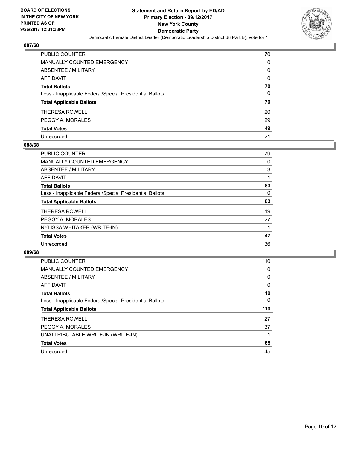

| PUBLIC COUNTER                                           | 70 |
|----------------------------------------------------------|----|
| <b>MANUALLY COUNTED EMERGENCY</b>                        | 0  |
| <b>ABSENTEE / MILITARY</b>                               | 0  |
| <b>AFFIDAVIT</b>                                         | 0  |
| <b>Total Ballots</b>                                     | 70 |
| Less - Inapplicable Federal/Special Presidential Ballots | 0  |
| <b>Total Applicable Ballots</b>                          | 70 |
| <b>THERESA ROWELL</b>                                    | 20 |
| PEGGY A. MORALES                                         | 29 |
| <b>Total Votes</b>                                       | 49 |
| Unrecorded                                               | 21 |

## **088/68**

| <b>PUBLIC COUNTER</b>                                    | 79 |
|----------------------------------------------------------|----|
| <b>MANUALLY COUNTED EMERGENCY</b>                        | 0  |
| ABSENTEE / MILITARY                                      | 3  |
| AFFIDAVIT                                                |    |
| <b>Total Ballots</b>                                     | 83 |
| Less - Inapplicable Federal/Special Presidential Ballots | 0  |
| <b>Total Applicable Ballots</b>                          | 83 |
| <b>THERESA ROWELL</b>                                    | 19 |
| PEGGY A. MORALES                                         | 27 |
| NYLISSA WHITAKER (WRITE-IN)                              |    |
| <b>Total Votes</b>                                       | 47 |
| Unrecorded                                               | 36 |

| <b>PUBLIC COUNTER</b>                                    | 110 |
|----------------------------------------------------------|-----|
| MANUALLY COUNTED EMERGENCY                               | 0   |
| ABSENTEE / MILITARY                                      | 0   |
| AFFIDAVIT                                                | 0   |
| <b>Total Ballots</b>                                     | 110 |
| Less - Inapplicable Federal/Special Presidential Ballots | 0   |
| <b>Total Applicable Ballots</b>                          | 110 |
| <b>THERESA ROWELL</b>                                    | 27  |
| PEGGY A. MORALES                                         | 37  |
| UNATTRIBUTABLE WRITE-IN (WRITE-IN)                       |     |
| <b>Total Votes</b>                                       | 65  |
| Unrecorded                                               | 45  |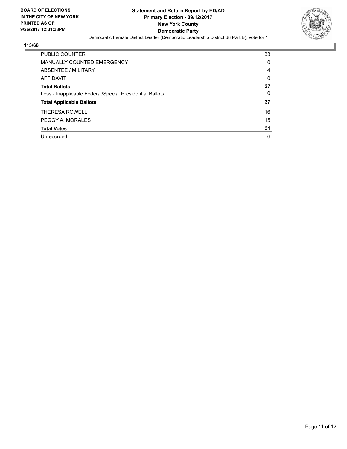

| <b>PUBLIC COUNTER</b>                                    | 33 |
|----------------------------------------------------------|----|
| <b>MANUALLY COUNTED EMERGENCY</b>                        | 0  |
| ABSENTEE / MILITARY                                      | 4  |
| AFFIDAVIT                                                | 0  |
| <b>Total Ballots</b>                                     | 37 |
| Less - Inapplicable Federal/Special Presidential Ballots | 0  |
| <b>Total Applicable Ballots</b>                          | 37 |
| <b>THERESA ROWELL</b>                                    | 16 |
| PEGGY A. MORALES                                         | 15 |
| <b>Total Votes</b>                                       | 31 |
| Unrecorded                                               | 6  |